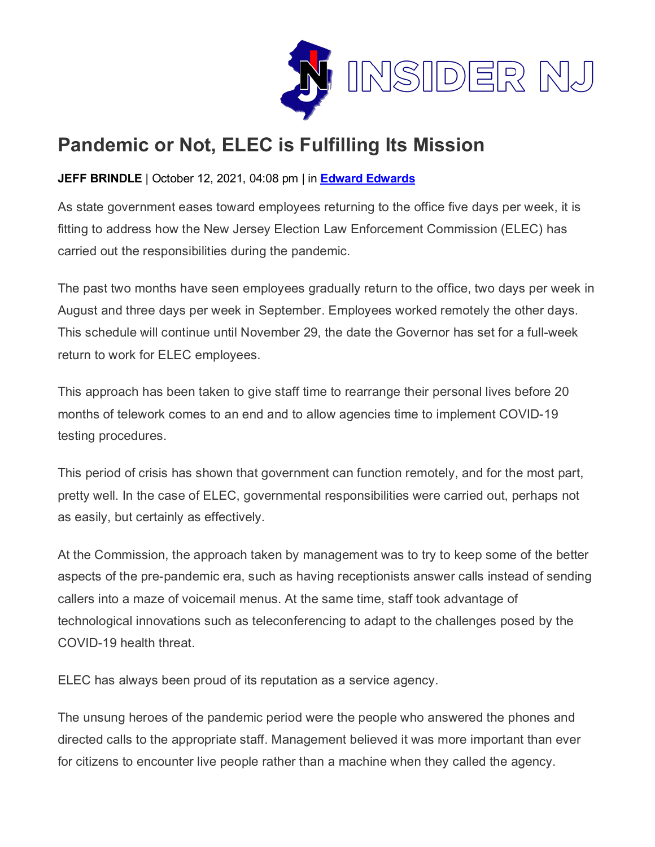

## **Pandemic or Not, ELEC is Fulfilling Its Mission**

## **JEFF BRINDLE** | October 12, 2021, 04:08 pm | in **Edward [Edwards](https://www.insidernj.com/category/edward-edwards/)**

As state government eases toward employees returning to the office five days per week, it is fitting to address how the New Jersey Election Law Enforcement Commission (ELEC) has carried out the responsibilities during the pandemic.

The past two months have seen employees gradually return to the office, two days per week in August and three days per week in September. Employees worked remotely the other days. This schedule will continue until November 29, the date the Governor has set for a full-week return to work for ELEC employees.

This approach has been taken to give staff time to rearrange their personal lives before 20 months of telework comes to an end and to allow agencies time to implement COVID-19 testing procedures.

This period of crisis has shown that government can function remotely, and for the most part, pretty well. In the case of ELEC, governmental responsibilities were carried out, perhaps not as easily, but certainly as effectively.

At the Commission, the approach taken by management was to try to keep some of the better aspects of the pre-pandemic era, such as having receptionists answer calls instead of sending callers into a maze of voicemail menus. At the same time, staff took advantage of technological innovations such as teleconferencing to adapt to the challenges posed by the COVID-19 health threat.

ELEC has always been proud of its reputation as a service agency.

The unsung heroes of the pandemic period were the people who answered the phones and directed calls to the appropriate staff. Management believed it was more important than ever for citizens to encounter live people rather than a machine when they called the agency.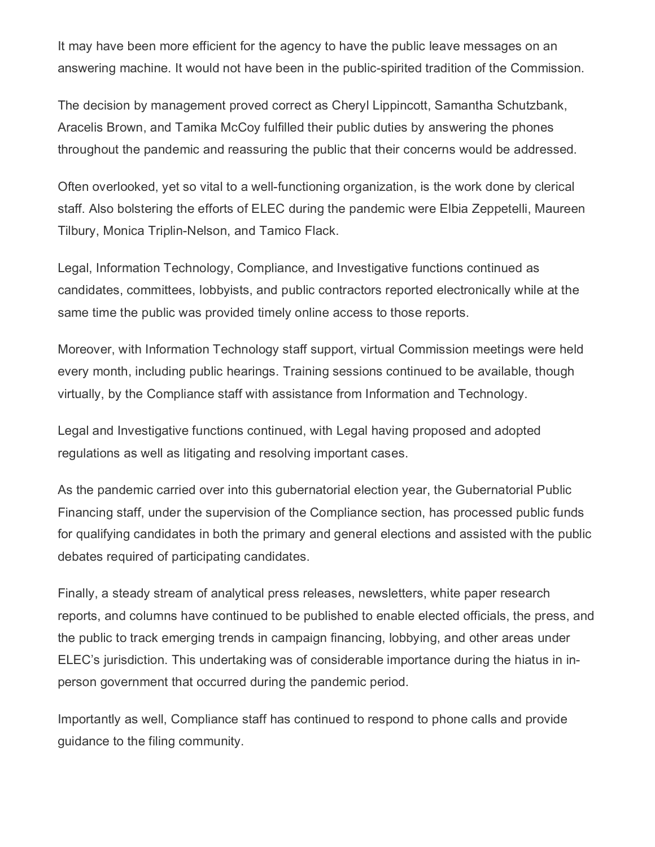It may have been more efficient for the agency to have the public leave messages on an answering machine. It would not have been in the public-spirited tradition of the Commission.

The decision by management proved correct as Cheryl Lippincott, Samantha Schutzbank, Aracelis Brown, and Tamika McCoy fulfilled their public duties by answering the phones throughout the pandemic and reassuring the public that their concerns would be addressed.

Often overlooked, yet so vital to a well-functioning organization, is the work done by clerical staff. Also bolstering the efforts of ELEC during the pandemic were Elbia Zeppetelli, Maureen Tilbury, Monica Triplin-Nelson, and Tamico Flack.

Legal, Information Technology, Compliance, and Investigative functions continued as candidates, committees, lobbyists, and public contractors reported electronically while at the same time the public was provided timely online access to those reports.

Moreover, with Information Technology staff support, virtual Commission meetings were held every month, including public hearings. Training sessions continued to be available, though virtually, by the Compliance staff with assistance from Information and Technology.

Legal and Investigative functions continued, with Legal having proposed and adopted regulations as well as litigating and resolving important cases.

As the pandemic carried over into this gubernatorial election year, the Gubernatorial Public Financing staff, under the supervision of the Compliance section, has processed public funds for qualifying candidates in both the primary and general elections and assisted with the public debates required of participating candidates.

Finally, a steady stream of analytical press releases, newsletters, white paper research reports, and columns have continued to be published to enable elected officials, the press, and the public to track emerging trends in campaign financing, lobbying, and other areas under ELEC's jurisdiction. This undertaking was of considerable importance during the hiatus in inperson government that occurred during the pandemic period.

Importantly as well, Compliance staff has continued to respond to phone calls and provide guidance to the filing community.